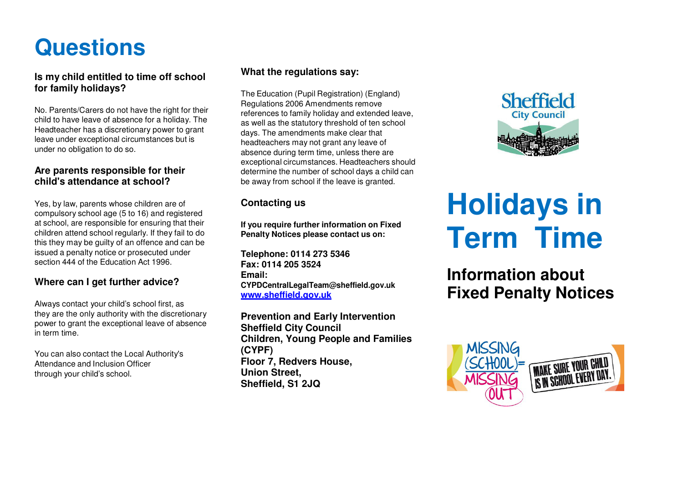# **Questions**

**Is my child entitled to time off school for family holidays?**

No. Parents/Carers do not have the right for their child to have leave of absence for a holiday. The Headteacher has a discretionary power to grantleave under exceptional circumstances but isunder no obligation to do so.

# **Are parents responsible for their child's attendance at school?**

Yes, by law, parents whose children are of compulsory school age (5 to 16) and registered at school, are responsible for ensuring that their children attend school regularly. If they fail to do this they may be guilty of an offence and can beissued a penalty notice or prosecuted undersection 444 of the Education Act 1996.

# **Where can I get further advice?**

Always contact your child's school first, as they are the only authority with the discretionary power to grant the exceptional leave of absencein term time.

You can also contact the Local Authority'sAttendance and Inclusion Officer through your child's school.

# **What the regulations say:**

The Education (Pupil Registration) (England)Regulations 2006 Amendments remove references to family holiday and extended leave,as well as the statutory threshold of ten schooldays. The amendments make clear thatheadteachers may not grant any leave of absence during term time, unless there are exceptional circumstances. Headteachers should determine the number of school days a child canbe away from school if the leave is granted.

# **Contacting us**

**If you require further information on FixedPenalty Notices please contact us on:**

**Telephone: 0114 273 5346Fax: 0114 205 3524Email: CYPDCentralLegalTeam@sheffield.gov.ukwww.sheffield.gov.uk**

**Prevention and Early Intervention Sheffield City Council Children, Young People and Families (CYPF) Floor 7, Redvers House, Union Street,Sheffield, S1 2JQ**



# **Holidays in Term Time**

**Information aboutFixed Penalty Notices**